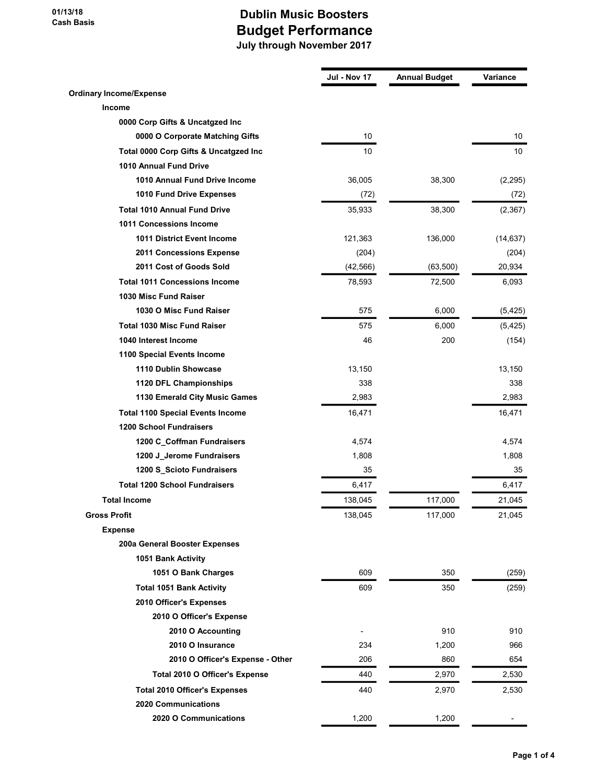|                                         | Jul - Nov 17             | <b>Annual Budget</b> | Variance  |
|-----------------------------------------|--------------------------|----------------------|-----------|
| <b>Ordinary Income/Expense</b>          |                          |                      |           |
| <b>Income</b>                           |                          |                      |           |
| 0000 Corp Gifts & Uncatgzed Inc         |                          |                      |           |
| 0000 O Corporate Matching Gifts         | 10                       |                      | 10        |
| Total 0000 Corp Gifts & Uncatgzed Inc   | 10                       |                      | 10        |
| 1010 Annual Fund Drive                  |                          |                      |           |
| 1010 Annual Fund Drive Income           | 36,005                   | 38,300               | (2, 295)  |
| 1010 Fund Drive Expenses                | (72)                     |                      | (72)      |
| <b>Total 1010 Annual Fund Drive</b>     | 35,933                   | 38,300               | (2, 367)  |
| 1011 Concessions Income                 |                          |                      |           |
| <b>1011 District Event Income</b>       | 121,363                  | 136,000              | (14, 637) |
| 2011 Concessions Expense                | (204)                    |                      | (204)     |
| 2011 Cost of Goods Sold                 | (42, 566)                | (63, 500)            | 20,934    |
| <b>Total 1011 Concessions Income</b>    | 78,593                   | 72,500               | 6,093     |
| 1030 Misc Fund Raiser                   |                          |                      |           |
| 1030 O Misc Fund Raiser                 | 575                      | 6,000                | (5, 425)  |
| <b>Total 1030 Misc Fund Raiser</b>      | 575                      | 6,000                | (5, 425)  |
| 1040 Interest Income                    | 46                       | 200                  | (154)     |
| 1100 Special Events Income              |                          |                      |           |
| 1110 Dublin Showcase                    | 13,150                   |                      | 13,150    |
| 1120 DFL Championships                  | 338                      |                      | 338       |
| 1130 Emerald City Music Games           | 2,983                    |                      | 2,983     |
| <b>Total 1100 Special Events Income</b> | 16,471                   |                      | 16,471    |
| <b>1200 School Fundraisers</b>          |                          |                      |           |
| 1200 C_Coffman Fundraisers              | 4,574                    |                      | 4,574     |
| 1200 J_Jerome Fundraisers               | 1,808                    |                      | 1,808     |
| 1200 S_Scioto Fundraisers               | 35                       |                      | 35        |
| <b>Total 1200 School Fundraisers</b>    | 6,417                    |                      | 6,417     |
| <b>Total Income</b>                     | 138,045                  | 117,000              | 21,045    |
| <b>Gross Profit</b>                     | 138,045                  | 117,000              | 21,045    |
| <b>Expense</b>                          |                          |                      |           |
| 200a General Booster Expenses           |                          |                      |           |
| 1051 Bank Activity                      |                          |                      |           |
| 1051 O Bank Charges                     | 609                      | 350                  | (259)     |
| <b>Total 1051 Bank Activity</b>         | 609                      | 350                  | (259)     |
| 2010 Officer's Expenses                 |                          |                      |           |
| 2010 O Officer's Expense                |                          |                      |           |
| 2010 O Accounting                       | $\overline{\phantom{a}}$ | 910                  | 910       |
| 2010 O Insurance                        | 234                      | 1,200                | 966       |
| 2010 O Officer's Expense - Other        | 206                      | 860                  | 654       |
| Total 2010 O Officer's Expense          | 440                      | 2,970                | 2,530     |
| <b>Total 2010 Officer's Expenses</b>    | 440                      | 2,970                | 2,530     |
| <b>2020 Communications</b>              |                          |                      |           |
| 2020 O Communications                   | 1,200                    | 1,200                |           |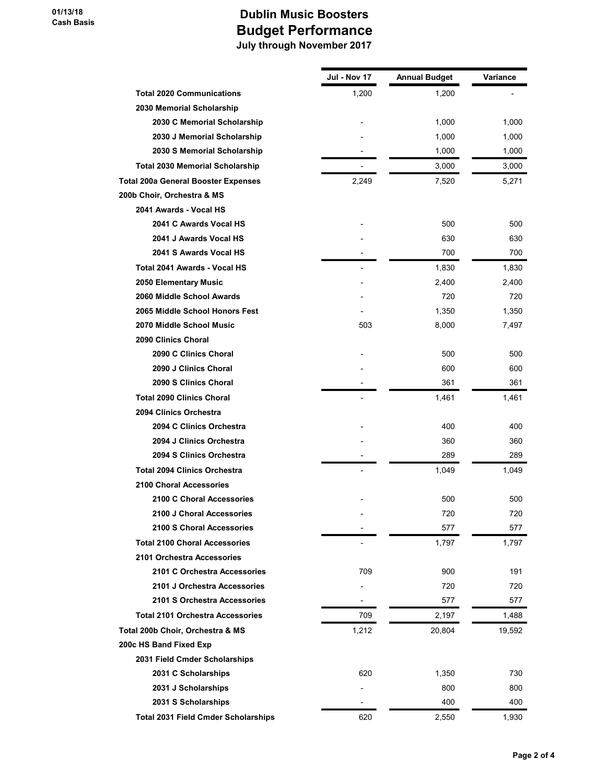|                                            | Jul - Nov 17             | <b>Annual Budget</b> | Variance |
|--------------------------------------------|--------------------------|----------------------|----------|
| <b>Total 2020 Communications</b>           | 1,200                    | 1,200                |          |
| 2030 Memorial Scholarship                  |                          |                      |          |
| 2030 C Memorial Scholarship                |                          | 1,000                | 1,000    |
| 2030 J Memorial Scholarship                |                          | 1,000                | 1,000    |
| 2030 S Memorial Scholarship                |                          | 1,000                | 1,000    |
| <b>Total 2030 Memorial Scholarship</b>     |                          | 3,000                | 3,000    |
| <b>Total 200a General Booster Expenses</b> | 2,249                    | 7,520                | 5,271    |
| 200b Choir, Orchestra & MS                 |                          |                      |          |
| 2041 Awards - Vocal HS                     |                          |                      |          |
| 2041 C Awards Vocal HS                     |                          | 500                  | 500      |
| 2041 J Awards Vocal HS                     |                          | 630                  | 630      |
| 2041 S Awards Vocal HS                     |                          | 700                  | 700      |
| Total 2041 Awards - Vocal HS               |                          | 1,830                | 1,830    |
| 2050 Elementary Music                      |                          | 2,400                | 2,400    |
| 2060 Middle School Awards                  |                          | 720                  | 720      |
| 2065 Middle School Honors Fest             |                          | 1,350                | 1,350    |
| 2070 Middle School Music                   | 503                      | 8,000                | 7,497    |
| 2090 Clinics Choral                        |                          |                      |          |
| 2090 C Clinics Choral                      |                          | 500                  | 500      |
| 2090 J Clinics Choral                      |                          | 600                  | 600      |
| 2090 S Clinics Choral                      |                          | 361                  | 361      |
| <b>Total 2090 Clinics Choral</b>           |                          | 1,461                | 1,461    |
| 2094 Clinics Orchestra                     |                          |                      |          |
| 2094 C Clinics Orchestra                   |                          | 400                  | 400      |
| 2094 J Clinics Orchestra                   |                          | 360                  | 360      |
| 2094 S Clinics Orchestra                   |                          | 289                  | 289      |
| <b>Total 2094 Clinics Orchestra</b>        | $\overline{a}$           | 1,049                | 1,049    |
| <b>2100 Choral Accessories</b>             |                          |                      |          |
| 2100 C Choral Accessories                  |                          | 500                  | 500      |
| 2100 J Choral Accessories                  |                          | 720                  | 720      |
| 2100 S Choral Accessories                  |                          | 577                  | 577      |
| <b>Total 2100 Choral Accessories</b>       |                          | 1,797                | 1,797    |
| 2101 Orchestra Accessories                 |                          |                      |          |
| 2101 C Orchestra Accessories               | 709                      | 900                  | 191      |
| 2101 J Orchestra Accessories               |                          | 720                  | 720      |
| 2101 S Orchestra Accessories               | $\overline{\phantom{a}}$ | 577                  | 577      |
| <b>Total 2101 Orchestra Accessories</b>    | 709                      | 2,197                | 1,488    |
| Total 200b Choir, Orchestra & MS           | 1,212                    | 20,804               | 19,592   |
| 200c HS Band Fixed Exp                     |                          |                      |          |
| 2031 Field Cmder Scholarships              |                          |                      |          |
| 2031 C Scholarships                        | 620                      | 1,350                | 730      |
| 2031 J Scholarships                        |                          | 800                  | 800      |
| 2031 S Scholarships                        |                          | 400                  | 400      |
| <b>Total 2031 Field Cmder Scholarships</b> | 620                      | 2,550                | 1,930    |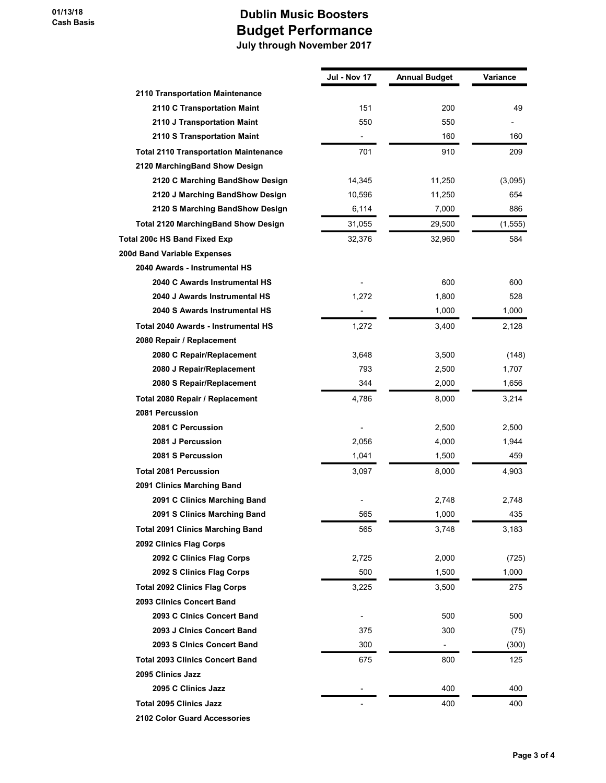|                                              | Jul - Nov 17             | <b>Annual Budget</b> | Variance |
|----------------------------------------------|--------------------------|----------------------|----------|
| 2110 Transportation Maintenance              |                          |                      |          |
| 2110 C Transportation Maint                  | 151                      | 200                  | 49       |
| 2110 J Transportation Maint                  | 550                      | 550                  |          |
| 2110 S Transportation Maint                  |                          | 160                  | 160      |
| <b>Total 2110 Transportation Maintenance</b> | 701                      | 910                  | 209      |
| 2120 MarchingBand Show Design                |                          |                      |          |
| 2120 C Marching BandShow Design              | 14,345                   | 11,250               | (3,095)  |
| 2120 J Marching BandShow Design              | 10,596                   | 11,250               | 654      |
| 2120 S Marching BandShow Design              | 6,114                    | 7,000                | 886      |
| <b>Total 2120 MarchingBand Show Design</b>   | 31,055                   | 29,500               | (1, 555) |
| Total 200c HS Band Fixed Exp                 | 32,376                   | 32,960               | 584      |
| 200d Band Variable Expenses                  |                          |                      |          |
| 2040 Awards - Instrumental HS                |                          |                      |          |
| 2040 C Awards Instrumental HS                |                          | 600                  | 600      |
| 2040 J Awards Instrumental HS                | 1,272                    | 1,800                | 528      |
| 2040 S Awards Instrumental HS                |                          | 1,000                | 1,000    |
| Total 2040 Awards - Instrumental HS          | 1,272                    | 3,400                | 2,128    |
| 2080 Repair / Replacement                    |                          |                      |          |
| 2080 C Repair/Replacement                    | 3,648                    | 3,500                | (148)    |
| 2080 J Repair/Replacement                    | 793                      | 2,500                | 1,707    |
| 2080 S Repair/Replacement                    | 344                      | 2,000                | 1,656    |
| Total 2080 Repair / Replacement              | 4,786                    | 8,000                | 3,214    |
| 2081 Percussion                              |                          |                      |          |
| 2081 C Percussion                            |                          | 2,500                | 2,500    |
| 2081 J Percussion                            | 2,056                    | 4,000                | 1,944    |
| 2081 S Percussion                            | 1,041                    | 1,500                | 459      |
| <b>Total 2081 Percussion</b>                 | 3,097                    | 8,000                | 4,903    |
| 2091 Clinics Marching Band                   |                          |                      |          |
| 2091 C Clinics Marching Band                 |                          | 2,748                | 2,748    |
| 2091 S Clinics Marching Band                 | 565                      | 1,000                | 435      |
| <b>Total 2091 Clinics Marching Band</b>      | 565                      | 3,748                | 3,183    |
| 2092 Clinics Flag Corps                      |                          |                      |          |
| 2092 C Clinics Flag Corps                    | 2,725                    | 2,000                | (725)    |
| 2092 S Clinics Flag Corps                    | 500                      | 1,500                | 1,000    |
| <b>Total 2092 Clinics Flag Corps</b>         | 3,225                    | 3,500                | 275      |
| 2093 Clinics Concert Band                    |                          |                      |          |
| 2093 C Cinics Concert Band                   | $\overline{\phantom{a}}$ | 500                  | 500      |
| 2093 J Cinics Concert Band                   | 375                      | 300                  | (75)     |
| 2093 S Clnics Concert Band                   | 300                      |                      | (300)    |
| <b>Total 2093 Clinics Concert Band</b>       | 675                      | 800                  | 125      |
| 2095 Clinics Jazz                            |                          |                      |          |
| 2095 C Clinics Jazz                          |                          | 400                  | 400      |
| <b>Total 2095 Clinics Jazz</b>               |                          | 400                  | 400      |
| 2102 Color Guard Accessories                 |                          |                      |          |